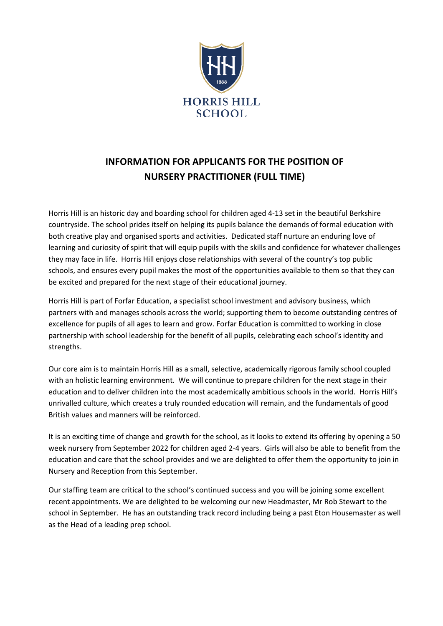

# **INFORMATION FOR APPLICANTS FOR THE POSITION OF NURSERY PRACTITIONER (FULL TIME)**

Horris Hill is an historic day and boarding school for children aged 4-13 set in the beautiful Berkshire countryside. The school prides itself on helping its pupils balance the demands of formal education with both creative play and organised sports and activities. Dedicated staff nurture an enduring love of learning and curiosity of spirit that will equip pupils with the skills and confidence for whatever challenges they may face in life. Horris Hill enjoys close relationships with several of the country's top public schools, and ensures every pupil makes the most of the opportunities available to them so that they can be excited and prepared for the next stage of their educational journey.

Horris Hill is part of Forfar Education, a specialist school investment and advisory business, which partners with and manages schools across the world; supporting them to become outstanding centres of excellence for pupils of all ages to learn and grow. Forfar Education is committed to working in close partnership with school leadership for the benefit of all pupils, celebrating each school's identity and strengths.

Our core aim is to maintain Horris Hill as a small, selective, academically rigorous family school coupled with an holistic learning environment. We will continue to prepare children for the next stage in their education and to deliver children into the most academically ambitious schools in the world. Horris Hill's unrivalled culture, which creates a truly rounded education will remain, and the fundamentals of good British values and manners will be reinforced.

It is an exciting time of change and growth for the school, as it looks to extend its offering by opening a 50 week nursery from September 2022 for children aged 2-4 years. Girls will also be able to benefit from the education and care that the school provides and we are delighted to offer them the opportunity to join in Nursery and Reception from this September.

Our staffing team are critical to the school's continued success and you will be joining some excellent recent appointments. We are delighted to be welcoming our new Headmaster, Mr Rob Stewart to the school in September. He has an outstanding track record including being a past Eton Housemaster as well as the Head of a leading prep school.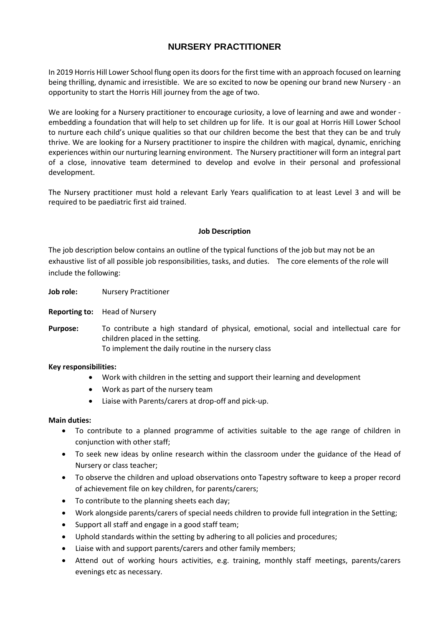# **NURSERY PRACTITIONER**

In 2019 Horris Hill Lower School flung open its doors for the first time with an approach focused on learning being thrilling, dynamic and irresistible. We are so excited to now be opening our brand new Nursery - an opportunity to start the Horris Hill journey from the age of two.

We are looking for a Nursery practitioner to encourage curiosity, a love of learning and awe and wonder embedding a foundation that will help to set children up for life. It is our goal at Horris Hill Lower School to nurture each child's unique qualities so that our children become the best that they can be and truly thrive. We are looking for a Nursery practitioner to inspire the children with magical, dynamic, enriching experiences within our nurturing learning environment. The Nursery practitioner will form an integral part of a close, innovative team determined to develop and evolve in their personal and professional development.

The Nursery practitioner must hold a relevant Early Years qualification to at least Level 3 and will be required to be paediatric first aid trained.

## **Job Description**

The job description below contains an outline of the typical functions of the job but may not be an exhaustive list of all possible job responsibilities, tasks, and duties. The core elements of the role will include the following:

- **Job role:** Nursery Practitioner
- **Reporting to:** Head of Nursery

**Purpose:** To contribute a high standard of physical, emotional, social and intellectual care for children placed in the setting. To implement the daily routine in the nursery class

#### **Key responsibilities:**

- Work with children in the setting and support their learning and development
- Work as part of the nursery team
- Liaise with Parents/carers at drop-off and pick-up.

#### **Main duties:**

- To contribute to a planned programme of activities suitable to the age range of children in conjunction with other staff;
- To seek new ideas by online research within the classroom under the guidance of the Head of Nursery or class teacher;
- To observe the children and upload observations onto Tapestry software to keep a proper record of achievement file on key children, for parents/carers;
- To contribute to the planning sheets each day;
- Work alongside parents/carers of special needs children to provide full integration in the Setting;
- Support all staff and engage in a good staff team;
- Uphold standards within the setting by adhering to all policies and procedures;
- Liaise with and support parents/carers and other family members;
- Attend out of working hours activities, e.g. training, monthly staff meetings, parents/carers evenings etc as necessary.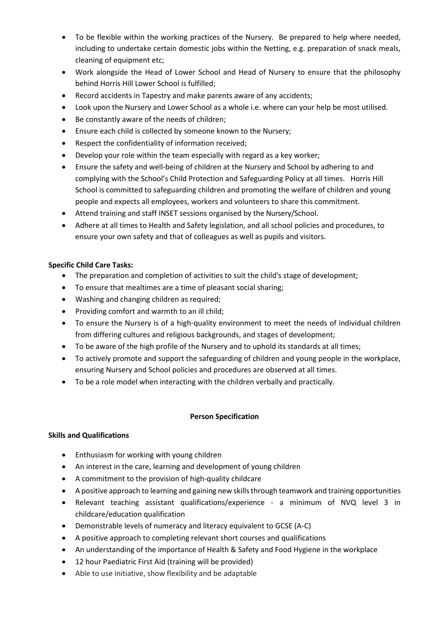- To be flexible within the working practices of the Nursery. Be prepared to help where needed, including to undertake certain domestic jobs within the Netting, e.g. preparation of snack meals, cleaning of equipment etc;
- Work alongside the Head of Lower School and Head of Nursery to ensure that the philosophy behind Horris Hill Lower School is fulfilled;
- Record accidents in Tapestry and make parents aware of any accidents;
- Look upon the Nursery and Lower School as a whole i.e. where can your help be most utilised.
- Be constantly aware of the needs of children;
- Ensure each child is collected by someone known to the Nursery;
- Respect the confidentiality of information received;
- Develop your role within the team especially with regard as a key worker;
- Ensure the safety and well-being of children at the Nursery and School by adhering to and complying with the School's Child Protection and Safeguarding Policy at all times. Horris Hill School is committed to safeguarding children and promoting the welfare of children and young people and expects all employees, workers and volunteers to share this commitment.
- Attend training and staff INSET sessions organised by the Nursery/School.
- Adhere at all times to Health and Safety legislation, and all school policies and procedures, to ensure your own safety and that of colleagues as well as pupils and visitors.

# **Specific Child Care Tasks:**

- The preparation and completion of activities to suit the child's stage of development;
- To ensure that mealtimes are a time of pleasant social sharing;
- Washing and changing children as required;
- Providing comfort and warmth to an ill child;
- To ensure the Nursery is of a high-quality environment to meet the needs of individual children from differing cultures and religious backgrounds, and stages of development;
- To be aware of the high profile of the Nursery and to uphold its standards at all times;
- To actively promote and support the safeguarding of children and young people in the workplace, ensuring Nursery and School policies and procedures are observed at all times.
- To be a role model when interacting with the children verbally and practically.

#### **Person Specification**

# **Skills and Qualifications**

- Enthusiasm for working with young children
- An interest in the care, learning and development of young children
- A commitment to the provision of high-quality childcare
- A positive approach to learning and gaining new skills through teamwork and training opportunities
- Relevant teaching assistant qualifications/experience a minimum of NVQ level 3 in childcare/education qualification
- Demonstrable levels of numeracy and literacy equivalent to GCSE (A-C)
- A positive approach to completing relevant short courses and qualifications
- An understanding of the importance of Health & Safety and Food Hygiene in the workplace
- 12 hour Paediatric First Aid (training will be provided)
- Able to use initiative, show flexibility and be adaptable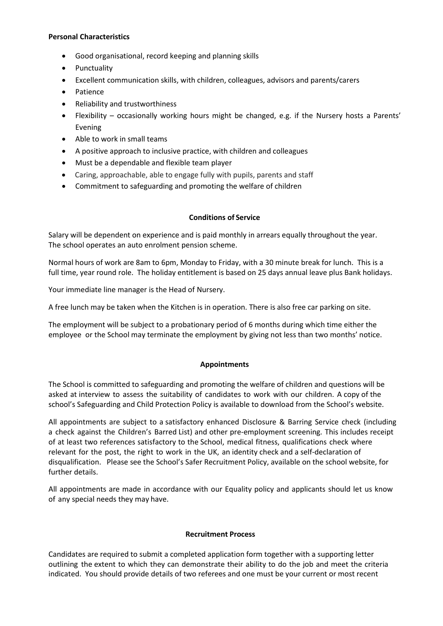### **Personal Characteristics**

- Good organisational, record keeping and planning skills
- Punctuality
- Excellent communication skills, with children, colleagues, advisors and parents/carers
- Patience
- Reliability and trustworthiness
- Flexibility occasionally working hours might be changed, e.g. if the Nursery hosts a Parents' Evening
- Able to work in small teams
- A positive approach to inclusive practice, with children and colleagues
- Must be a dependable and flexible team player
- Caring, approachable, able to engage fully with pupils, parents and staff
- Commitment to safeguarding and promoting the welfare of children

# **Conditions of Service**

Salary will be dependent on experience and is paid monthly in arrears equally throughout the year. The school operates an auto enrolment pension scheme.

Normal hours of work are 8am to 6pm, Monday to Friday, with a 30 minute break for lunch. This is a full time, year round role. The holiday entitlement is based on 25 days annual leave plus Bank holidays.

Your immediate line manager is the Head of Nursery.

A free lunch may be taken when the Kitchen is in operation. There is also free car parking on site.

The employment will be subject to a probationary period of 6 months during which time either the employee or the School may terminate the employment by giving not less than two months' notice.

# **Appointments**

The School is committed to safeguarding and promoting the welfare of children and questions will be asked at interview to assess the suitability of candidates to work with our children. A copy of the school's Safeguarding and Child Protection Policy is available to download from the School's website.

All appointments are subject to a satisfactory enhanced Disclosure & Barring Service check (including a check against the Children's Barred List) and other pre-employment screening. This includes receipt of at least two references satisfactory to the School, medical fitness, qualifications check where relevant for the post, the right to work in the UK, an identity check and a self-declaration of disqualification. Please see the School's Safer Recruitment Policy, available on the school website, for further details.

All appointments are made in accordance with our Equality policy and applicants should let us know of any special needs they may have.

#### **Recruitment Process**

Candidates are required to submit a completed application form together with a supporting letter outlining the extent to which they can demonstrate their ability to do the job and meet the criteria indicated. You should provide details of two referees and one must be your current or most recent